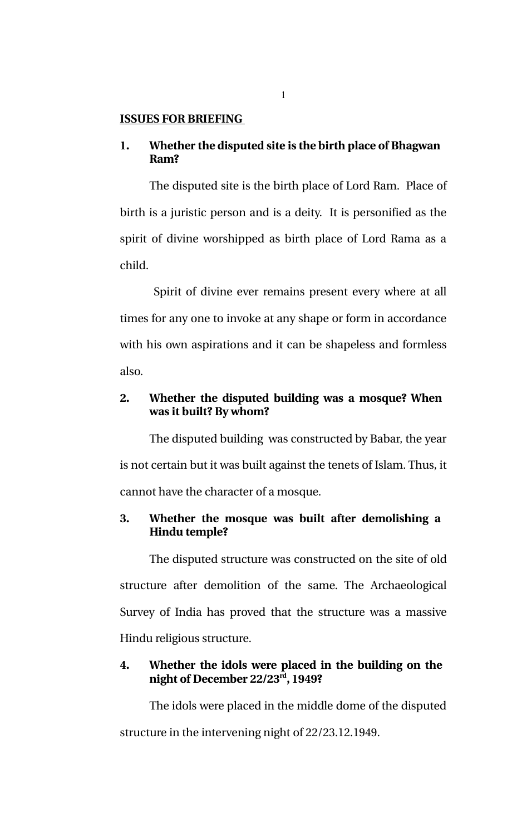#### **ISSUES FOR BRIEFING**

## **1. Whether the disputed site is the birth place of Bhagwan Ram?**

The disputed site is the birth place of Lord Ram. Place of birth is a juristic person and is a deity. It is personified as the spirit of divine worshipped as birth place of Lord Rama as a child.

 Spirit of divine ever remains present every where at all times for any one to invoke at any shape or form in accordance with his own aspirations and it can be shapeless and formless also.

# **2. Whether the disputed building was a mosque? When was it built? By whom?**

The disputed building was constructed by Babar, the year is not certain but it was built against the tenets of Islam. Thus, it cannot have the character of a mosque.

# **3. Whether the mosque was built after demolishing a Hindu temple?**

The disputed structure was constructed on the site of old structure after demolition of the same. The Archaeological Survey of India has proved that the structure was a massive Hindu religious structure.

## **4. Whether the idols were placed in the building on the night of December 22/23rd, 1949?**

The idols were placed in the middle dome of the disputed structure in the intervening night of 22/23.12.1949.